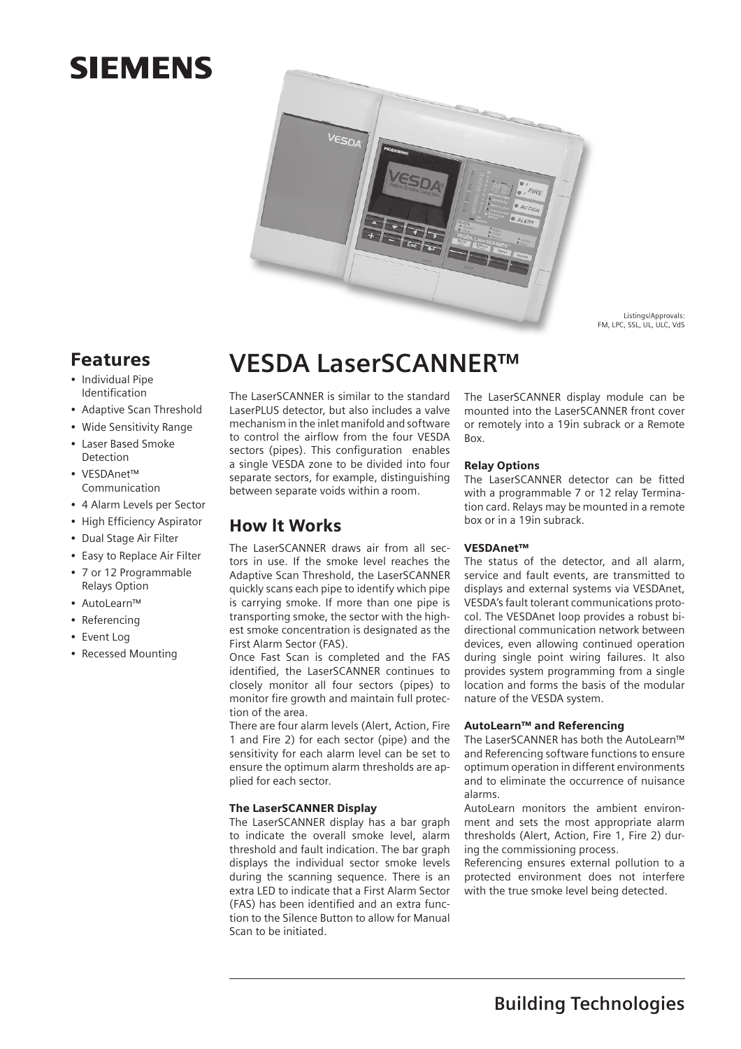# **SIEMENS**



Listings/Approvals: FM, LPC, SSL, UL, ULC, VdS

## Features

- Individual Pipe Identification
- Adaptive Scan Threshold
- Wide Sensitivity Range
- Laser Based Smoke Detection
- VESDAnet™ Communication
- 4 Alarm Levels per Sector
- High Efficiency Aspirator
- Dual Stage Air Filter
- Easy to Replace Air Filter
- 7 or 12 Programmable Relays Option
- AutoLearn™
- Referencing
- Event Log
- Recessed Mounting

# **VESDA LaserSCANNER™**

The LaserSCANNER is similar to the standard LaserPLUS detector, but also includes a valve mechanism in the inlet manifold and software to control the airflow from the four VESDA sectors (pipes). This configuration enables a single VESDA zone to be divided into four separate sectors, for example, distinguishing between separate voids within a room.

### How lt Works

The LaserSCANNER draws air from all sectors in use. If the smoke level reaches the Adaptive Scan Threshold, the LaserSCANNER quickly scans each pipe to identify which pipe is carrying smoke. If more than one pipe is transporting smoke, the sector with the highest smoke concentration is designated as the First Alarm Sector (FAS).

Once Fast Scan is completed and the FAS identified, the LaserSCANNER continues to closely monitor all four sectors (pipes) to monitor fire growth and maintain full protection of the area.

There are four alarm levels (Alert, Action, Fire 1 and Fire 2) for each sector (pipe) and the sensitivity for each alarm level can be set to ensure the optimum alarm thresholds are applied for each sector.

#### The LaserSCANNER Display

The LaserSCANNER display has a bar graph to indicate the overall smoke level, alarm threshold and fault indication. The bar graph displays the individual sector smoke levels during the scanning sequence. There is an extra LED to indicate that a First Alarm Sector (FAS) has been identified and an extra function to the Silence Button to allow for Manual Scan to be initiated.

The LaserSCANNER display module can be mounted into the LaserSCANNER front cover or remotely into a 19in subrack or a Remote Box.

#### Relay Options

The LaserSCANNER detector can be fitted with a programmable 7 or 12 relay Termination card. Relays may be mounted in a remote box or in a 19in subrack.

#### VESDAnet™

The status of the detector, and all alarm, service and fault events, are transmitted to displays and external systems via VESDAnet, VESDA's fault tolerant communications protocol. The VESDAnet loop provides a robust bidirectional communication network between devices, even allowing continued operation during single point wiring failures. It also provides system programming from a single location and forms the basis of the modular nature of the VESDA system.

#### AutoLearn™ and Referencing

The LaserSCANNER has both the AutoLearn™ and Referencing software functions to ensure optimum operation in different environments and to eliminate the occurrence of nuisance alarms.

AutoLearn monitors the ambient environment and sets the most appropriate alarm thresholds (Alert, Action, Fire 1, Fire 2) during the commissioning process.

Referencing ensures external pollution to a protected environment does not interfere with the true smoke level being detected.